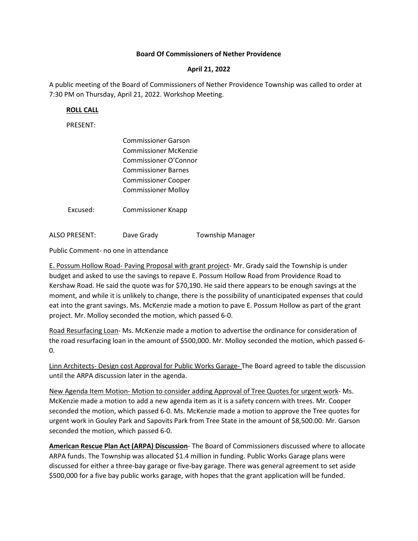## Board Of Commissioners of Nether Providence

## April 21, 2022

A public meeting of the Board of Commissioners of Nether Providence Township was called to order at 7:30 PM on Thursday, April 21, 2022. Workshop Meeting.

## ROLL CALL

PRESENT:

|          | <b>Commissioner Garson</b> |
|----------|----------------------------|
|          | Commissioner McKenzie      |
|          | Commissioner O'Connor      |
|          | <b>Commissioner Barnes</b> |
|          | <b>Commissioner Cooper</b> |
|          | <b>Commissioner Molloy</b> |
|          |                            |
| Excused: | <b>Commissioner Knapp</b>  |

ALSO PRESENT: Dave Grady Township Manager

Public Comment- no one in attendance

E. Possum Hollow Road- Paving Proposal with grant project- Mr. Grady said the Township is under budget and asked to use the savings to repave E. Possum Hollow Road from Providence Road to Kershaw Road. He said the quote was for \$70,190. He said there appears to be enough savings at the moment, and while it is unlikely to change, there is the possibility of unanticipated expenses that could eat into the grant savings. Ms. McKenzie made a motion to pave E. Possum Hollow as part of the grant project. Mr. Molloy seconded the motion, which passed 6-0.

Road Resurfacing Loan- Ms. McKenzie made a motion to advertise the ordinance for consideration of the road resurfacing loan in the amount of \$500,000. Mr. Molloy seconded the motion, which passed 6- 0.

Linn Architects- Design cost Approval for Public Works Garage- The Board agreed to table the discussion until the ARPA discussion later in the agenda.

New Agenda Item Motion- Motion to consider adding Approval of Tree Quotes for urgent work- Ms. McKenzie made a motion to add a new agenda item as it is a safety concern with trees. Mr. Cooper seconded the motion, which passed 6-0. Ms. McKenzie made a motion to approve the Tree quotes for urgent work in Gouley Park and Sapovits Park from Tree State in the amount of \$8,500.00. Mr. Garson seconded the motion, which passed 6-0.

American Rescue Plan Act (ARPA) Discussion- The Board of Commissioners discussed where to allocate ARPA funds. The Township was allocated \$1.4 million in funding. Public Works Garage plans were discussed for either a three-bay garage or five-bay garage. There was general agreement to set aside \$500,000 for a five bay public works garage, with hopes that the grant application will be funded.